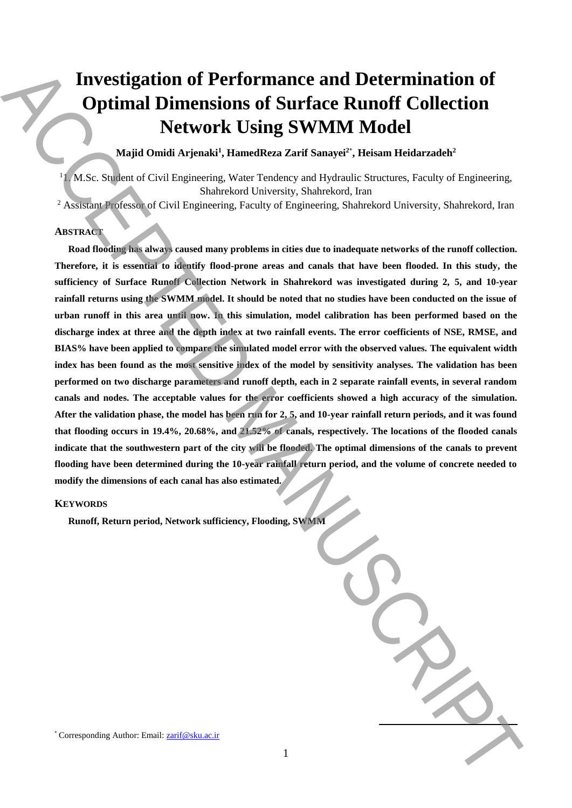# **Investigation of Performance and Determination of Optimal Dimensions of Surface Runoff Collection Network Using SWMM Model**

**Majid Omidi Arjenaki<sup>1</sup> , HamedReza Zarif Sanayei<sup>2</sup>**\* **, Heisam Heidarzadeh<sup>2</sup>**

<sup>1</sup>1. M.Sc. Student of Civil Engineering, Water Tendency and Hydraulic Structures, Faculty of Engineering, Shahrekord University, Shahrekord, Iran

<sup>2</sup> Assistant Professor of Civil Engineering, Faculty of Engineering, Shahrekord University, Shahrekord, Iran

# **ABSTRACT**

**Road flooding has always caused many problems in cities due to inadequate networks of the runoff collection. Therefore, it is essential to identify flood-prone areas and canals that have been flooded. In this study, the sufficiency of Surface Runoff Collection Network in Shahrekord was investigated during 2, 5, and 10-year rainfall returns using the SWMM model. It should be noted that no studies have been conducted on the issue of urban runoff in this area until now. In this simulation, model calibration has been performed based on the discharge index at three and the depth index at two rainfall events. The error coefficients of NSE, RMSE, and BIAS% have been applied to compare the simulated model error with the observed values. The equivalent width index has been found as the most sensitive index of the model by sensitivity analyses. The validation has been performed on two discharge parameters and runoff depth, each in 2 separate rainfall events, in several random canals and nodes. The acceptable values for the error coefficients showed a high accuracy of the simulation. After the validation phase, the model has been run for 2, 5, and 10-year rainfall return periods, and it was found that flooding occurs in 19.4%, 20.68%, and 21.52% of canals, respectively. The locations of the flooded canals indicate that the southwestern part of the city will be flooded. The optimal dimensions of the canals to prevent flooding have been determined during the 10-year rainfall return period, and the volume of concrete needed to modify the dimensions of each canal has also estimated.** Investigation of Performance and Determination of<br>
Optimal Dimensions of Surface Rumoffice/Letton<br>
Network Using SWMM Model<br>
National Apistolic Structure (Englishering Author: Email:  $\sqrt{N}$  and  $\sqrt{N}$  and  $\sqrt{N}$  and  $\$ 

# **KEYWORDS**

**Runoff, Return period, Network sufficiency, Flooding, SWMM**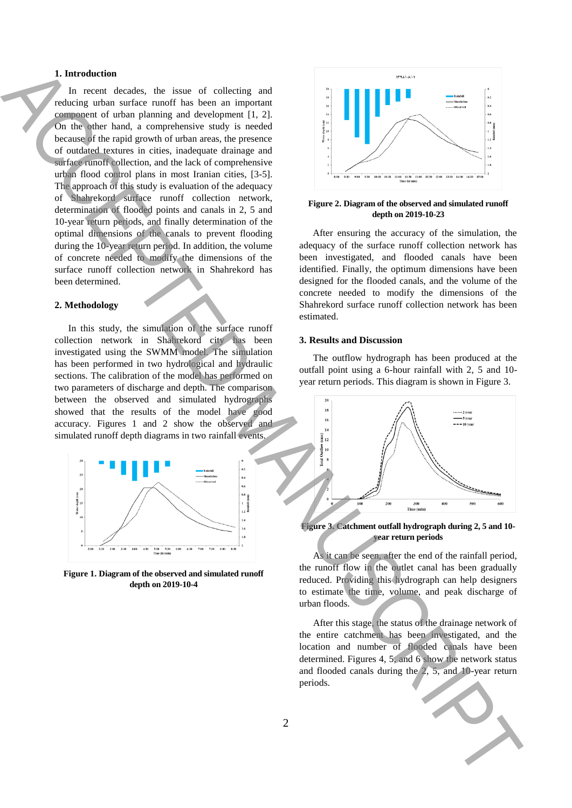## **1. Introduction**

In recent decades, the issue of collecting and reducing urban surface runoff has been an important component of urban planning and development [1, 2]. On the other hand, a comprehensive study is needed because of the rapid growth of urban areas, the presence of outdated textures in cities, inadequate drainage and surface runoff collection, and the lack of comprehensive urban flood control plans in most Iranian cities, [3-5]. The approach of this study is evaluation of the adequacy of Shahrekord surface runoff collection network, determination of flooded points and canals in 2, 5 and 10-year return periods, and finally determination of the optimal dimensions of the canals to prevent flooding during the 10-year return period. In addition, the volume of concrete needed to modify the dimensions of the surface runoff collection network in Shahrekord has been determined. The second control of the second control of the second control of the second control of the second control of the second control of the second control of the second control of the second control of the second control of t

## **2. Methodology**

In this study, the simulation of the surface runoff collection network in Shahrekord city has been investigated using the SWMM model. The simulation has been performed in two hydrological and hydraulic sections. The calibration of the model has performed on two parameters of discharge and depth. The comparison between the observed and simulated hydrographs showed that the results of the model have good accuracy. Figures 1 and 2 show the observed and simulated runoff depth diagrams in two rainfall events.



**Figure 1. Diagram of the observed and simulated runoff depth on 2019-10-4**



#### **Figure 2. Diagram of the observed and simulated runoff depth on 2019-10-23**

After ensuring the accuracy of the simulation, the adequacy of the surface runoff collection network has been investigated, and flooded canals have been identified. Finally, the optimum dimensions have been designed for the flooded canals, and the volume of the concrete needed to modify the dimensions of the Shahrekord surface runoff collection network has been estimated.

## **3. Results and Discussion**

The outflow hydrograph has been produced at the outfall point using a 6-hour rainfall with 2, 5 and 10 year return periods. This diagram is shown in Figure 3.



#### **Figure 3. Catchment outfall hydrograph during 2, 5 and 10 year return periods**

As it can be seen, after the end of the rainfall period, the runoff flow in the outlet canal has been gradually reduced. Providing this hydrograph can help designers to estimate the time, volume, and peak discharge of urban floods.

After this stage, the status of the drainage network of the entire catchment has been investigated, and the location and number of flooded canals have been determined. Figures 4, 5, and 6 show the network status and flooded canals during the 2, 5, and 10-year return